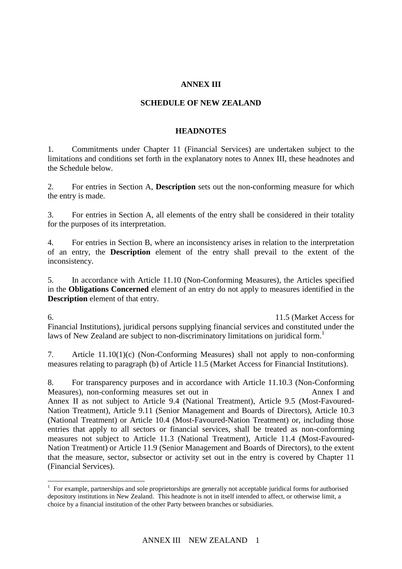### **ANNEX III**

#### **SCHEDULE OF NEW ZEALAND**

#### **HEADNOTES**

1. Commitments under Chapter 11 (Financial Services) are undertaken subject to the limitations and conditions set forth in the explanatory notes to Annex III, these headnotes and the Schedule below.

2. For entries in Section A, **Description** sets out the non-conforming measure for which the entry is made.

3. For entries in Section A, all elements of the entry shall be considered in their totality for the purposes of its interpretation.

4. For entries in Section B, where an inconsistency arises in relation to the interpretation of an entry, the **Description** element of the entry shall prevail to the extent of the inconsistency.

5. In accordance with Article 11.10 (Non-Conforming Measures), the Articles specified in the **Obligations Concerned** element of an entry do not apply to measures identified in the **Description** element of that entry.

6. To clarify New Zealand's Commitment with respect to Article 11.5 (Market Access for Financial Institutions), juridical persons supplying financial services and constituted under the laws of New Zealand are subject to non-discriminatory limitations on juridical form.<sup>1</sup>

7. Article 11.10(1)(c) (Non-Conforming Measures) shall not apply to non-conforming measures relating to paragraph (b) of Article 11.5 (Market Access for Financial Institutions).

8. For transparency purposes and in accordance with Article 11.10.3 (Non-Conforming Measures), non-conforming measures set out in Annex I and Annex II as not subject to Article 9.4 (National Treatment), Article 9.5 (Most-Favoured-Nation Treatment), Article 9.11 (Senior Management and Boards of Directors), Article 10.3 (National Treatment) or Article 10.4 (Most-Favoured-Nation Treatment) or, including those entries that apply to all sectors or financial services, shall be treated as non-conforming measures not subject to Article 11.3 (National Treatment), Article 11.4 (Most-Favoured-Nation Treatment) or Article 11.9 (Senior Management and Boards of Directors), to the extent that the measure, sector, subsector or activity set out in the entry is covered by Chapter 11 (Financial Services).

 $\overline{a}$ 

<sup>&</sup>lt;sup>1</sup> For example, partnerships and sole proprietorships are generally not acceptable juridical forms for authorised depository institutions in New Zealand. This headnote is not in itself intended to affect, or otherwise limit, a choice by a financial institution of the other Party between branches or subsidiaries.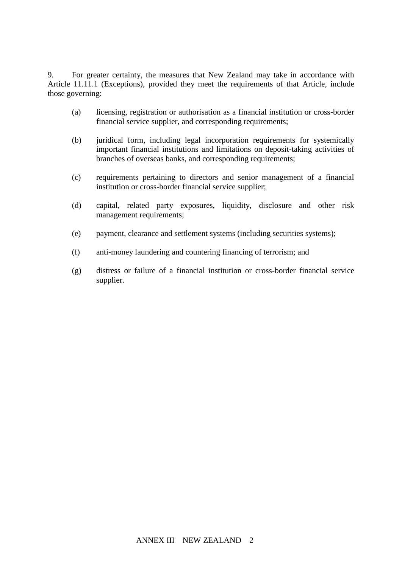9. For greater certainty, the measures that New Zealand may take in accordance with Article 11.11.1 (Exceptions), provided they meet the requirements of that Article, include those governing:

- (a) licensing, registration or authorisation as a financial institution or cross-border financial service supplier, and corresponding requirements;
- (b) juridical form, including legal incorporation requirements for systemically important financial institutions and limitations on deposit-taking activities of branches of overseas banks, and corresponding requirements;
- (c) requirements pertaining to directors and senior management of a financial institution or cross-border financial service supplier;
- (d) capital, related party exposures, liquidity, disclosure and other risk management requirements;
- (e) payment, clearance and settlement systems (including securities systems);
- (f) anti-money laundering and countering financing of terrorism; and
- (g) distress or failure of a financial institution or cross-border financial service supplier.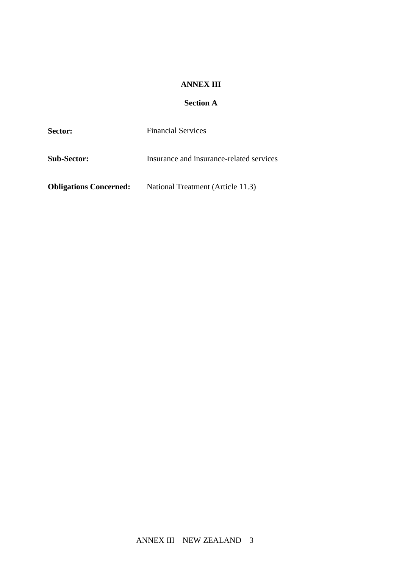#### **ANNEX III**

# **Section A**

| Sector:                       | <b>Financial Services</b>                |
|-------------------------------|------------------------------------------|
| <b>Sub-Sector:</b>            | Insurance and insurance-related services |
| <b>Obligations Concerned:</b> | National Treatment (Article 11.3)        |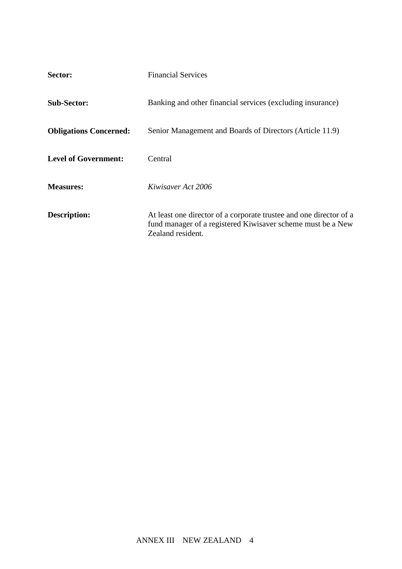| Sector:                       | <b>Financial Services</b>                                                                                                                              |
|-------------------------------|--------------------------------------------------------------------------------------------------------------------------------------------------------|
| <b>Sub-Sector:</b>            | Banking and other financial services (excluding insurance)                                                                                             |
| <b>Obligations Concerned:</b> | Senior Management and Boards of Directors (Article 11.9)                                                                                               |
| <b>Level of Government:</b>   | Central                                                                                                                                                |
| <b>Measures:</b>              | Kiwisaver Act 2006                                                                                                                                     |
| <b>Description:</b>           | At least one director of a corporate trustee and one director of a<br>fund manager of a registered Kiwisaver scheme must be a New<br>Zealand resident. |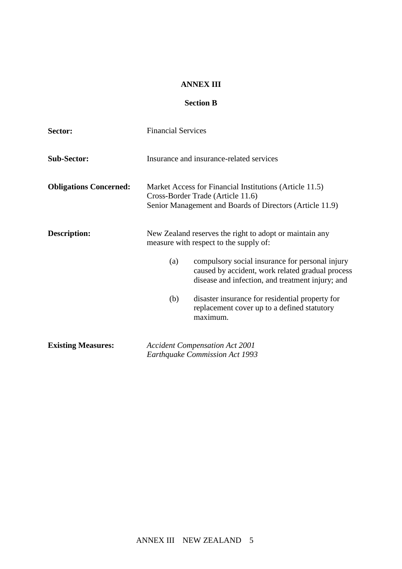#### **ANNEX III**

## **Section B**

| Sector:                       | <b>Financial Services</b>                                                                                                                                      |  |  |
|-------------------------------|----------------------------------------------------------------------------------------------------------------------------------------------------------------|--|--|
| <b>Sub-Sector:</b>            | Insurance and insurance-related services                                                                                                                       |  |  |
| <b>Obligations Concerned:</b> | Market Access for Financial Institutions (Article 11.5)<br>Cross-Border Trade (Article 11.6)<br>Senior Management and Boards of Directors (Article 11.9)       |  |  |
| <b>Description:</b>           | New Zealand reserves the right to adopt or maintain any<br>measure with respect to the supply of:                                                              |  |  |
|                               | compulsory social insurance for personal injury<br>(a)<br>caused by accident, work related gradual process<br>disease and infection, and treatment injury; and |  |  |
|                               | disaster insurance for residential property for<br>(b)<br>replacement cover up to a defined statutory<br>maximum.                                              |  |  |
| <b>Existing Measures:</b>     | <b>Accident Compensation Act 2001</b><br><b>Earthquake Commission Act 1993</b>                                                                                 |  |  |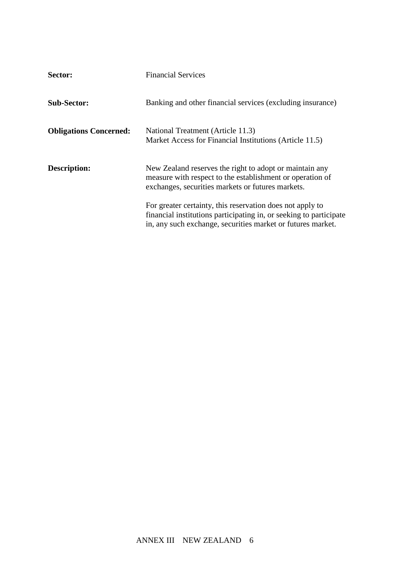| Sector:                       | <b>Financial Services</b>                                                                                                                                                                      |
|-------------------------------|------------------------------------------------------------------------------------------------------------------------------------------------------------------------------------------------|
| <b>Sub-Sector:</b>            | Banking and other financial services (excluding insurance)                                                                                                                                     |
| <b>Obligations Concerned:</b> | National Treatment (Article 11.3)<br>Market Access for Financial Institutions (Article 11.5)                                                                                                   |
| <b>Description:</b>           | New Zealand reserves the right to adopt or maintain any<br>measure with respect to the establishment or operation of<br>exchanges, securities markets or futures markets.                      |
|                               | For greater certainty, this reservation does not apply to<br>financial institutions participating in, or seeking to participate<br>in, any such exchange, securities market or futures market. |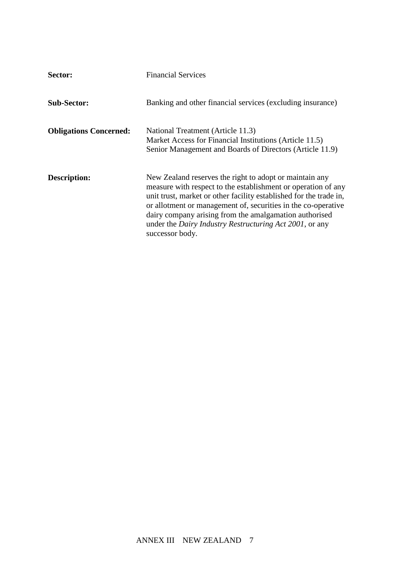| Sector:                       | <b>Financial Services</b>                                                                                                                                                                                                                                                                                                                                                                                       |
|-------------------------------|-----------------------------------------------------------------------------------------------------------------------------------------------------------------------------------------------------------------------------------------------------------------------------------------------------------------------------------------------------------------------------------------------------------------|
| <b>Sub-Sector:</b>            | Banking and other financial services (excluding insurance)                                                                                                                                                                                                                                                                                                                                                      |
| <b>Obligations Concerned:</b> | National Treatment (Article 11.3)<br>Market Access for Financial Institutions (Article 11.5)<br>Senior Management and Boards of Directors (Article 11.9)                                                                                                                                                                                                                                                        |
| <b>Description:</b>           | New Zealand reserves the right to adopt or maintain any<br>measure with respect to the establishment or operation of any<br>unit trust, market or other facility established for the trade in,<br>or allotment or management of, securities in the co-operative<br>dairy company arising from the amalgamation authorised<br>under the <i>Dairy Industry Restructuring Act 2001</i> , or any<br>successor body. |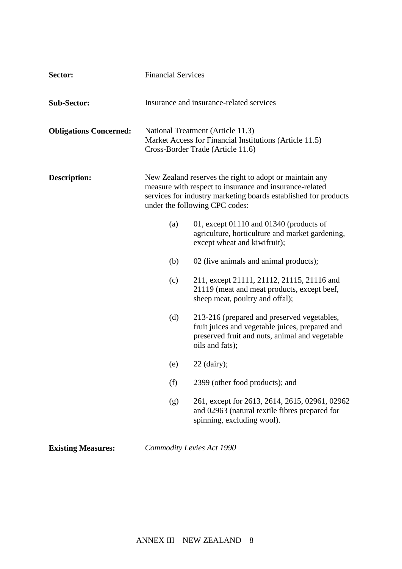| Sector:                       | <b>Financial Services</b>                                                                                                                                                                                               |                                                                                                                                                                     |  |
|-------------------------------|-------------------------------------------------------------------------------------------------------------------------------------------------------------------------------------------------------------------------|---------------------------------------------------------------------------------------------------------------------------------------------------------------------|--|
| <b>Sub-Sector:</b>            | Insurance and insurance-related services                                                                                                                                                                                |                                                                                                                                                                     |  |
| <b>Obligations Concerned:</b> | National Treatment (Article 11.3)<br>Market Access for Financial Institutions (Article 11.5)<br>Cross-Border Trade (Article 11.6)                                                                                       |                                                                                                                                                                     |  |
| Description:                  | New Zealand reserves the right to adopt or maintain any<br>measure with respect to insurance and insurance-related<br>services for industry marketing boards established for products<br>under the following CPC codes: |                                                                                                                                                                     |  |
|                               | (a)                                                                                                                                                                                                                     | 01, except $01110$ and $01340$ (products of<br>agriculture, horticulture and market gardening,<br>except wheat and kiwifruit);                                      |  |
|                               | (b)                                                                                                                                                                                                                     | 02 (live animals and animal products);                                                                                                                              |  |
|                               | (c)                                                                                                                                                                                                                     | 211, except 21111, 21112, 21115, 21116 and<br>21119 (meat and meat products, except beef,<br>sheep meat, poultry and offal);                                        |  |
|                               | (d)                                                                                                                                                                                                                     | 213-216 (prepared and preserved vegetables,<br>fruit juices and vegetable juices, prepared and<br>preserved fruit and nuts, animal and vegetable<br>oils and fats); |  |
|                               | (e)                                                                                                                                                                                                                     | $22$ (dairy);                                                                                                                                                       |  |
|                               | (f)                                                                                                                                                                                                                     | 2399 (other food products); and                                                                                                                                     |  |
|                               | (g)                                                                                                                                                                                                                     | 261, except for 2613, 2614, 2615, 02961, 02962<br>and 02963 (natural textile fibres prepared for<br>spinning, excluding wool).                                      |  |
|                               |                                                                                                                                                                                                                         |                                                                                                                                                                     |  |

**Existing Measures:** *Commodity Levies Act 1990*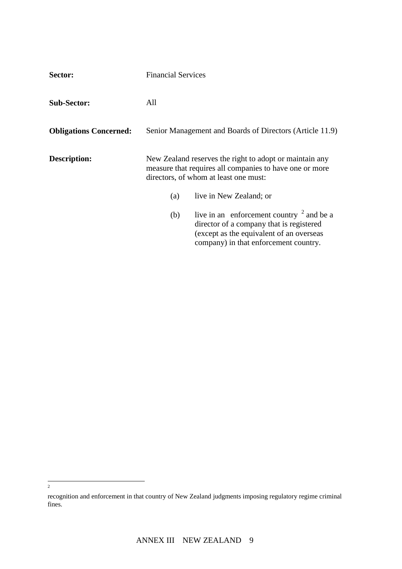| Sector:                       | <b>Financial Services</b>                                                                                                                                   |                                                                                                                                                                                        |  |
|-------------------------------|-------------------------------------------------------------------------------------------------------------------------------------------------------------|----------------------------------------------------------------------------------------------------------------------------------------------------------------------------------------|--|
| <b>Sub-Sector:</b>            | All                                                                                                                                                         |                                                                                                                                                                                        |  |
| <b>Obligations Concerned:</b> | Senior Management and Boards of Directors (Article 11.9)                                                                                                    |                                                                                                                                                                                        |  |
| Description:                  | New Zealand reserves the right to adopt or maintain any<br>measure that requires all companies to have one or more<br>directors, of whom at least one must: |                                                                                                                                                                                        |  |
|                               | (a)                                                                                                                                                         | live in New Zealand; or                                                                                                                                                                |  |
|                               | (b)                                                                                                                                                         | live in an enforcement country $\frac{2}{3}$ and be a<br>director of a company that is registered<br>(except as the equivalent of an overseas<br>company) in that enforcement country. |  |

 $\frac{1}{2}$ 

recognition and enforcement in that country of New Zealand judgments imposing regulatory regime criminal fines.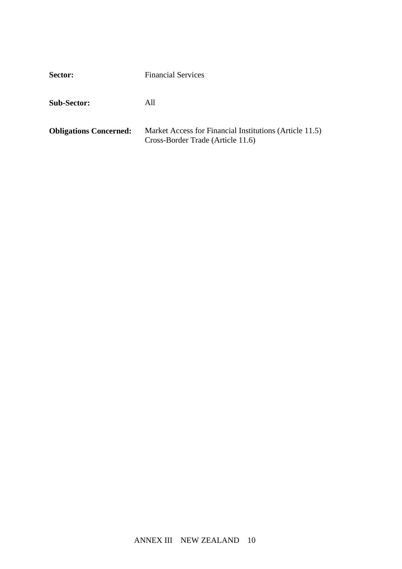| Sector:                       | <b>Financial Services</b>                                                                    |  |
|-------------------------------|----------------------------------------------------------------------------------------------|--|
| <b>Sub-Sector:</b>            | All                                                                                          |  |
| <b>Obligations Concerned:</b> | Market Access for Financial Institutions (Article 11.5)<br>Cross-Border Trade (Article 11.6) |  |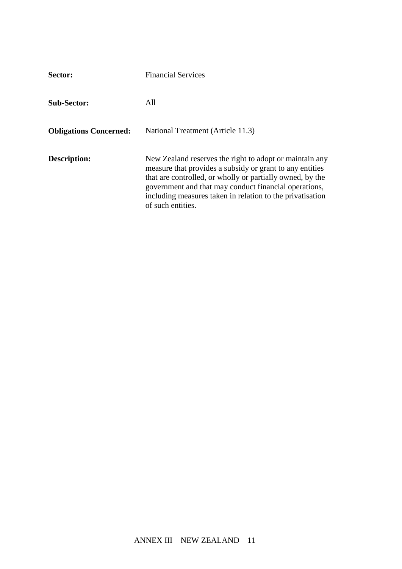| Sector:                       | <b>Financial Services</b>                                                                                                                                                                                                                                                                                                   |
|-------------------------------|-----------------------------------------------------------------------------------------------------------------------------------------------------------------------------------------------------------------------------------------------------------------------------------------------------------------------------|
| <b>Sub-Sector:</b>            | All                                                                                                                                                                                                                                                                                                                         |
| <b>Obligations Concerned:</b> | National Treatment (Article 11.3)                                                                                                                                                                                                                                                                                           |
| Description:                  | New Zealand reserves the right to adopt or maintain any<br>measure that provides a subsidy or grant to any entities<br>that are controlled, or wholly or partially owned, by the<br>government and that may conduct financial operations,<br>including measures taken in relation to the privatisation<br>of such entities. |